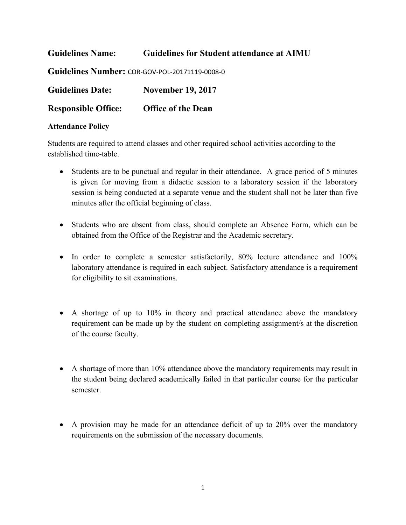**Guidelines Name: Guidelines for Student attendance at AIMU Guidelines Number:** COR-GOV-POL-20171119-0008-0 **Guidelines Date: November 19, 2017 Responsible Office: Office of the Dean**

## **Attendance Policy**

Students are required to attend classes and other required school activities according to the established time-table.

- Students are to be punctual and regular in their attendance. A grace period of 5 minutes is given for moving from a didactic session to a laboratory session if the laboratory session is being conducted at a separate venue and the student shall not be later than five minutes after the official beginning of class.
- Students who are absent from class, should complete an Absence Form, which can be obtained from the Office of the Registrar and the Academic secretary.
- In order to complete a semester satisfactorily, 80% lecture attendance and 100% laboratory attendance is required in each subject. Satisfactory attendance is a requirement for eligibility to sit examinations.
- A shortage of up to 10% in theory and practical attendance above the mandatory requirement can be made up by the student on completing assignment/s at the discretion of the course faculty.
- A shortage of more than 10% attendance above the mandatory requirements may result in the student being declared academically failed in that particular course for the particular semester.
- A provision may be made for an attendance deficit of up to 20% over the mandatory requirements on the submission of the necessary documents.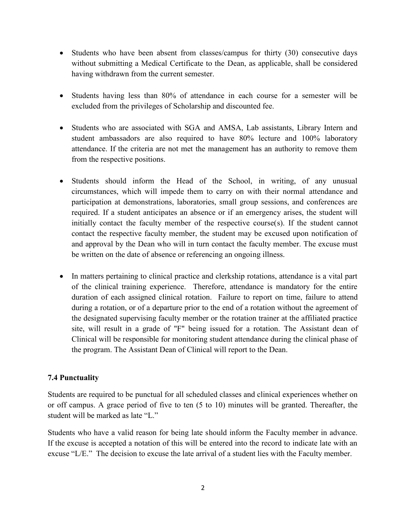- Students who have been absent from classes/campus for thirty (30) consecutive days without submitting a Medical Certificate to the Dean, as applicable, shall be considered having withdrawn from the current semester.
- Students having less than 80% of attendance in each course for a semester will be excluded from the privileges of Scholarship and discounted fee.
- Students who are associated with SGA and AMSA, Lab assistants, Library Intern and student ambassadors are also required to have 80% lecture and 100% laboratory attendance. If the criteria are not met the management has an authority to remove them from the respective positions.
- Students should inform the Head of the School, in writing, of any unusual circumstances, which will impede them to carry on with their normal attendance and participation at demonstrations, laboratories, small group sessions, and conferences are required. If a student anticipates an absence or if an emergency arises, the student will initially contact the faculty member of the respective course(s). If the student cannot contact the respective faculty member, the student may be excused upon notification of and approval by the Dean who will in turn contact the faculty member. The excuse must be written on the date of absence or referencing an ongoing illness.
- In matters pertaining to clinical practice and clerkship rotations, attendance is a vital part of the clinical training experience. Therefore, attendance is mandatory for the entire duration of each assigned clinical rotation. Failure to report on time, failure to attend during a rotation, or of a departure prior to the end of a rotation without the agreement of the designated supervising faculty member or the rotation trainer at the affiliated practice site, will result in a grade of "F" being issued for a rotation. The Assistant dean of Clinical will be responsible for monitoring student attendance during the clinical phase of the program. The Assistant Dean of Clinical will report to the Dean.

## **7.4 Punctuality**

Students are required to be punctual for all scheduled classes and clinical experiences whether on or off campus. A grace period of five to ten (5 to 10) minutes will be granted. Thereafter, the student will be marked as late "L."

Students who have a valid reason for being late should inform the Faculty member in advance. If the excuse is accepted a notation of this will be entered into the record to indicate late with an excuse "L/E." The decision to excuse the late arrival of a student lies with the Faculty member.